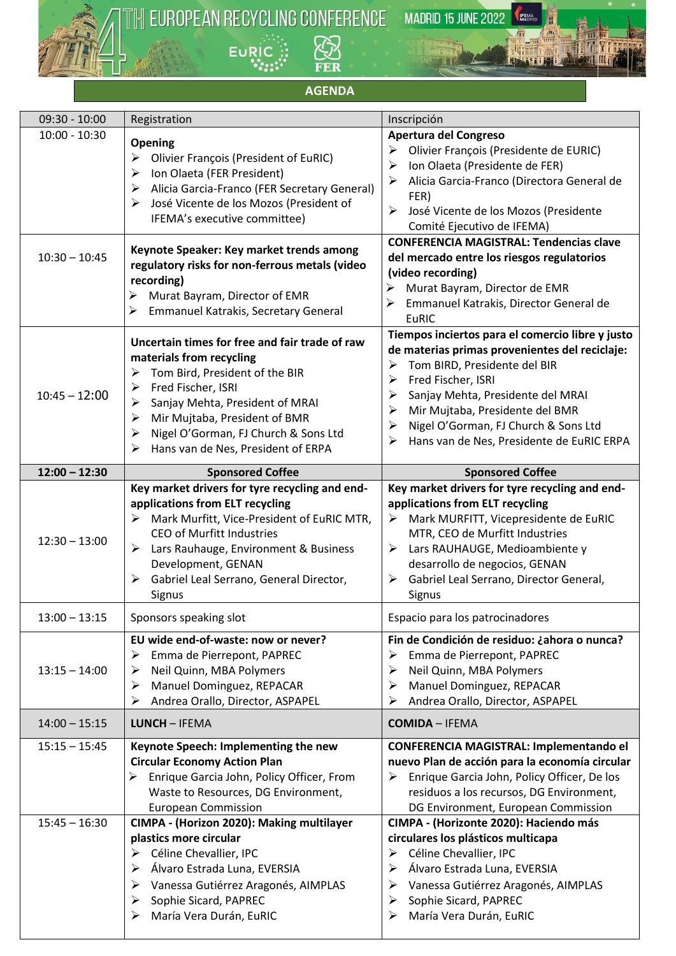

TH EUROPEAN RECYCLING CONFERENCE **ER** EURIC<sup>3</sup>

**MADRID 15 JUNE 2022** 

KEMA

**REGISTER** 

## **AGENDA**

| $09:30 - 10:00$                    | Registration                                                                                                                                                                                                                                                                                                       | Inscripción                                                                                                                                                                                                                                                                                                                                         |
|------------------------------------|--------------------------------------------------------------------------------------------------------------------------------------------------------------------------------------------------------------------------------------------------------------------------------------------------------------------|-----------------------------------------------------------------------------------------------------------------------------------------------------------------------------------------------------------------------------------------------------------------------------------------------------------------------------------------------------|
| $10:00 - 10:30$                    | Opening<br><b>Olivier François (President of EuRIC)</b><br>➤<br>Ion Olaeta (FER President)<br>➤<br>Alicia Garcia-Franco (FER Secretary General)<br>➤<br>José Vicente de los Mozos (President of<br>➤<br>IFEMA's executive committee)                                                                               | Apertura del Congreso<br>Olivier François (Presidente de EURIC)<br>≻<br>Ion Olaeta (Presidente de FER)<br>➤<br>Alicia Garcia-Franco (Directora General de<br>➤<br>FER)<br>José Vicente de los Mozos (Presidente<br>➤<br>Comité Ejecutivo de IFEMA)                                                                                                  |
| $10:30 - 10:45$                    | Keynote Speaker: Key market trends among<br>regulatory risks for non-ferrous metals (video<br>recording)<br>Murat Bayram, Director of EMR<br>≻<br>Emmanuel Katrakis, Secretary General<br>≻                                                                                                                        | <b>CONFERENCIA MAGISTRAL: Tendencias clave</b><br>del mercado entre los riesgos regulatorios<br>(video recording)<br>≻<br>Murat Bayram, Director de EMR<br>Emmanuel Katrakis, Director General de<br>➤<br><b>EuRIC</b>                                                                                                                              |
| $10:45 - 12:00$                    | Uncertain times for free and fair trade of raw<br>materials from recycling<br>Tom Bird, President of the BIR<br>➤<br>Fred Fischer, ISRI<br>➤<br>Sanjay Mehta, President of MRAI<br>➤<br>Mir Mujtaba, President of BMR<br>➤<br>Nigel O'Gorman, FJ Church & Sons Ltd<br>≻<br>Hans van de Nes, President of ERPA<br>➤ | Tiempos inciertos para el comercio libre y justo<br>de materias primas provenientes del reciclaje:<br>Tom BIRD, Presidente del BIR<br>≻<br>Fred Fischer, ISRI<br>≻<br>Sanjay Mehta, Presidente del MRAI<br>➤<br>Mir Mujtaba, Presidente del BMR<br>➤<br>Nigel O'Gorman, FJ Church & Sons Ltd<br>➤<br>Hans van de Nes, Presidente de EuRIC ERPA<br>⋗ |
| $12:00 - 12:30$                    | <b>Sponsored Coffee</b>                                                                                                                                                                                                                                                                                            | <b>Sponsored Coffee</b>                                                                                                                                                                                                                                                                                                                             |
| $12:30 - 13:00$                    | Key market drivers for tyre recycling and end-<br>applications from ELT recycling<br>Mark Murfitt, Vice-President of EuRIC MTR,<br><b>CEO of Murfitt Industries</b><br>Lars Rauhauge, Environment & Business<br>➤<br>Development, GENAN<br>Gabriel Leal Serrano, General Director,<br>➤<br>Signus                  | Key market drivers for tyre recycling and end-<br>applications from ELT recycling<br>Mark MURFITT, Vicepresidente de EuRIC<br>➤<br>MTR, CEO de Murfitt Industries<br>Lars RAUHAUGE, Medioambiente y<br>➤<br>desarrollo de negocios, GENAN<br>Gabriel Leal Serrano, Director General,<br>➤<br>Signus                                                 |
| $13:00 - 13:15$                    | Sponsors speaking slot                                                                                                                                                                                                                                                                                             | Espacio para los patrocinadores                                                                                                                                                                                                                                                                                                                     |
| $13:15 - 14:00$                    | EU wide end-of-waste: now or never?<br>➤<br>Emma de Pierrepont, PAPREC<br>Neil Quinn, MBA Polymers<br>➤<br>Manuel Dominguez, REPACAR<br>➤<br>Andrea Orallo, Director, ASPAPEL<br>➤                                                                                                                                 | Fin de Condición de residuo: ¿ahora o nunca?<br>Emma de Pierrepont, PAPREC<br>➤<br>Neil Quinn, MBA Polymers<br>➤<br>Manuel Dominguez, REPACAR<br>➤<br>Andrea Orallo, Director, ASPAPEL<br>➤                                                                                                                                                         |
| $14:00 - 15:15$                    | <b>LUNCH - IFEMA</b>                                                                                                                                                                                                                                                                                               | <b>COMIDA - IFEMA</b>                                                                                                                                                                                                                                                                                                                               |
| $15:15 - 15:45$<br>$15:45 - 16:30$ | Keynote Speech: Implementing the new<br><b>Circular Economy Action Plan</b><br>Enrique Garcia John, Policy Officer, From<br>➤<br>Waste to Resources, DG Environment,<br><b>European Commission</b><br>CIMPA - (Horizon 2020): Making multilayer                                                                    | CONFERENCIA MAGISTRAL: Implementando el<br>nuevo Plan de acción para la economía circular<br>Enrique Garcia John, Policy Officer, De los<br>➤<br>residuos a los recursos, DG Environment,<br>DG Environment, European Commission<br>CIMPA - (Horizonte 2020): Haciendo más                                                                          |
|                                    | plastics more circular<br>Céline Chevallier, IPC<br>➤<br>Álvaro Estrada Luna, EVERSIA<br>➤<br>Vanessa Gutiérrez Aragonés, AIMPLAS<br>➤<br>Sophie Sicard, PAPREC<br>➤<br>María Vera Durán, EuRIC<br>➤                                                                                                               | circulares los plásticos multicapa<br>Céline Chevallier, IPC<br>➤<br>Álvaro Estrada Luna, EVERSIA<br>➤<br>Vanessa Gutiérrez Aragonés, AIMPLAS<br>➤<br>Sophie Sicard, PAPREC<br>➤<br>María Vera Durán, EuRIC<br>⋗                                                                                                                                    |